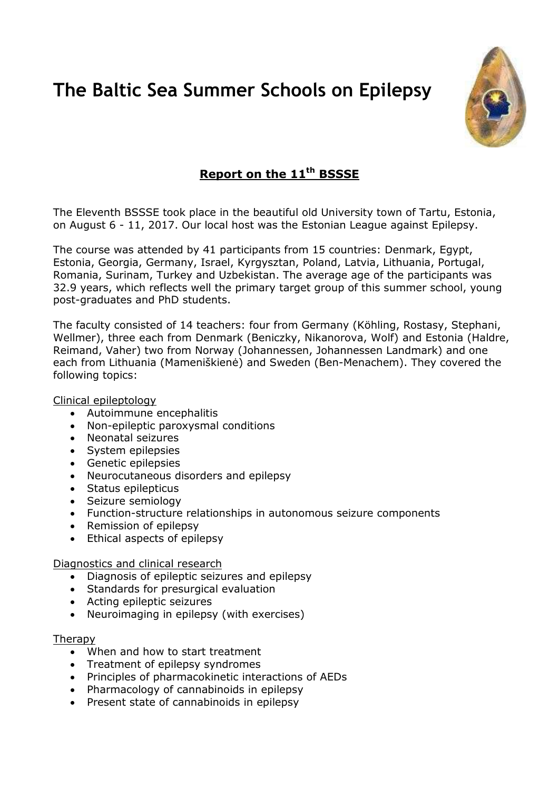# **The Baltic Sea Summer Schools on Epilepsy**



## **Report on the 11th BSSSE**

The Eleventh BSSSE took place in the beautiful old University town of Tartu, Estonia, on August 6 - 11, 2017. Our local host was the Estonian League against Epilepsy.

The course was attended by 41 participants from 15 countries: Denmark, Egypt, Estonia, Georgia, Germany, Israel, Kyrgysztan, Poland, Latvia, Lithuania, Portugal, Romania, Surinam, Turkey and Uzbekistan. The average age of the participants was 32.9 years, which reflects well the primary target group of this summer school, young post-graduates and PhD students.

The faculty consisted of 14 teachers: four from Germany (Köhling, Rostasy, Stephani, Wellmer), three each from Denmark (Beniczky, Nikanorova, Wolf) and Estonia (Haldre, Reimand, Vaher) two from Norway (Johannessen, Johannessen Landmark) and one each from Lithuania (Mameniškienė) and Sweden (Ben-Menachem). They covered the following topics:

Clinical epileptology

- Autoimmune encephalitis
- Non-epileptic paroxysmal conditions
- Neonatal seizures
- System epilepsies
- Genetic epilepsies
- Neurocutaneous disorders and epilepsy
- Status epilepticus
- Seizure semiology
- Function-structure relationships in autonomous seizure components
- Remission of epilepsy
- Ethical aspects of epilepsy

Diagnostics and clinical research

- Diagnosis of epileptic seizures and epilepsy
- Standards for presurgical evaluation
- Acting epileptic seizures
- Neuroimaging in epilepsy (with exercises)

#### Therapy

- When and how to start treatment
- Treatment of epilepsy syndromes
- Principles of pharmacokinetic interactions of AEDs
- Pharmacology of cannabinoids in epilepsy
- Present state of cannabinoids in epilepsy